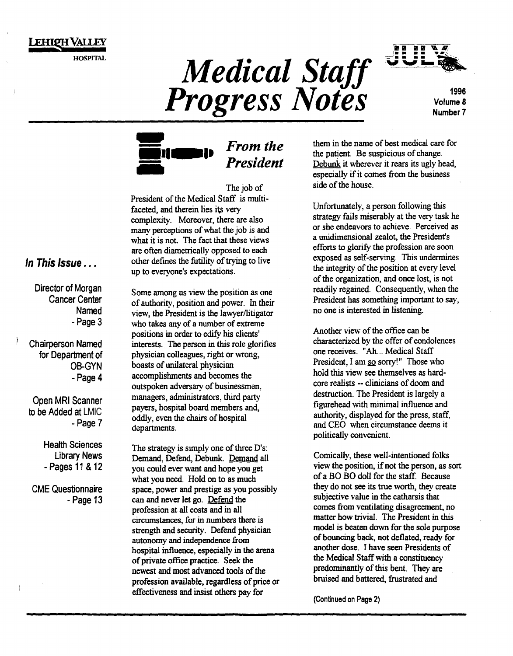

HOSPITAL

Medical Staff **Progress Notes** 



Volume 8 Number7



## *From the President*

The job of President of the Medical Staff is multifaceted, and therein lies its very complexity. Moreover, there are also many perceptions of what the job is and what it is not. The fact that these views are often diametrically opposed to each other defmes the futility of trying to live up to everyone's expectations.

Director of Morgan Cancer Center Named -Page 3

Chairperson Named for Department of 08-GYN -Page 4

Open MRI Scanner to be Added at LMIC -Page 7

> Health Sciences Library News - Pages 11 & 12

CME Questionnaire -Page 13

Some among us view the position as one of authority, position and power. In their view, the President is the lawyer/litigator who takes any of a number of extreme positions in order to edify his clients' interests. The person in this role glorifies physician colleagues, right or wrong, boasts of unilateral physician accomplishments and becomes the outspoken adversary of businessmen, managers, administrators, third party payers, hospital board members and, oddly, even the chairs of hospital departments.

The strategy is simply one of three D's: Demand, Defend, Debunk. Demand all you could ever want and hope you get what you need. Hold on to as much space, power and prestige as you possibly can and never let go. Defend the profession at all costs and in all circumstances, for in numbers there is strength and security. Defend physician autonomy and independence from hospital influence, especially in the arena of private office practice. Seek the newest and most advanced tools of the profession available, regardless of price or effectiveness and insist others pay for

them in the name of best medical care for the patient. Be suspicious of change. Debunk it wherever it rears its ugly head, especially if it comes from the business side of the house.

Unfortunately, a person following this strategy fails miserably at the very task he or she endeavors to achieve. Perceived as a unidimensional zealot, the President's efforts to glorify the profession are soon exposed as self-serving. This undermines the integrity of the position at every level of the organization, and once lost, is not readily regained. Consequently, when the President has something important to say, no one is interested in listening.

Another view of the office can be characterized by the offer of condolences one receives. "Ah ... Medical Staff President, I am so sorry!" Those who hold this view see themselves as hardcore realists -- clinicians of doom and destruction. The President is largely a figurehead with minimal influence and authority, displayed for the press, staff, and CEO when circumstance deems it politically convenient.

Comically, these well-intentioned folks view the position, if not the person, as sort of a BO BO doll for the staff. Because they do not see its true worth, they create subjective value in the catharsis that comes from ventilating disagreement, no matter how trivial. The President in this model is beaten down for the sole purpose of bouncing back, not deflated, ready for another dose. I have seen Presidents of the Medical Staff with a constituency predominantly of this bent. They are bruised and battered, frustrated and

(Continued on Page 2)

### *In This Issue* ...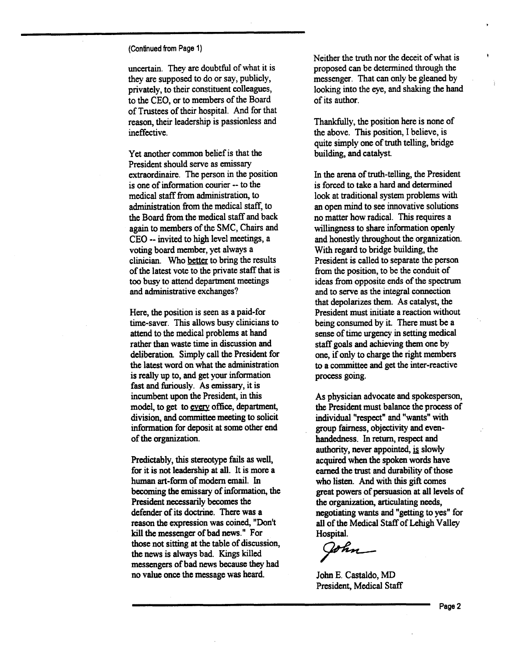(Continued from Page 1)

uncertain. They are doubtful of what it is they are supposed to do or say, publicly, privately, to their constituent colleagues, to the CEO, or to members of the Board of Trustees of their hospital. And for that reason, their leadership is passionless and ineffective.

Yet another common belief is that the President should serve as emissary extraordinaire. The person in the position is one of information courier -- to the medical staff from administration, to administration from the medical staff, to the Board from the medical staff and back again to members of the SMC, Chairs and CEO -- invited to high level meetings, a voting board member, yet always a clinician. Who better to bring the results of the latest vote to the private staff that is too busy to attend department meetings and administrative exchanges?

Here, the position is seen as a paid-for time-saver. This allows busy clinicians to attend to the medical problems at hand rather than waste time in discussion and deliberation. Simply call the President for the latest word on what the administration is really up to, and get your information fast and furiously. As emissary, it is incumbent upon the President, in this model, to get to every office, department, division, and committee meeting to solicit information for deposit at some other end of the organization.

Predictably, this stereotype fails as well, for it is not leadership at all. It is more a human art-form of modem email. In becoming the emissary of information, the President necessarily becomes the defender of its doctrine. There was a reason the expression was coined, "Don't kill the messenger of bad news." For those not sitting at the table of discussion, the news is always bad. Kings killed messengers of bad news because they had no value once the message was heard.

Neither the truth nor the deceit of what is proposed can be determined through the messenger. That can only be gleaned by looking into the eye, and shaking the hand of its author.

Thankfully, the position here is none of the above. This position, I believe, is quite simply one of truth telling, bridge building, and catalyst

In the arena of truth-telling, the President is forced to take a hard and determined look at traditional system problems with an open mind to see innovative solutions no matter how radical. This requires a willingness to share information openly and honestly throughout the organization. With regard to bridge building, the President is called to separate the person from the position, to be the conduit of ideas from opposite ends of the spectrum and to serve as the integral connection that depolarizes them. As catalyst, the President must initiate a reaction without being consumed by it. There must be a sense of time urgency in setting medical staff goals and achieving them one by one, if only to charge the right members to a committee and get the inter-reactive process going.

As physician advocate and spokesperson, the President must balance the process of individual "respect" and "wants" with group fairness, objectivity and evenhandedness. In return, respect and authority, never appointed, is slowly acquired when the spoken words have earned the trust and durability of those who listen. And with this gift comes great powers of persuasion at all levels of the organization, articulating needs, negotiating wants and "getting to yes" for all of the Medical Staff of Lehigh Valley<br>Hospital.<br> **Figure 1.1**<br>
John E. Castaldo, MD Hospital.

John E. Castaldo, MD President, Medical Staff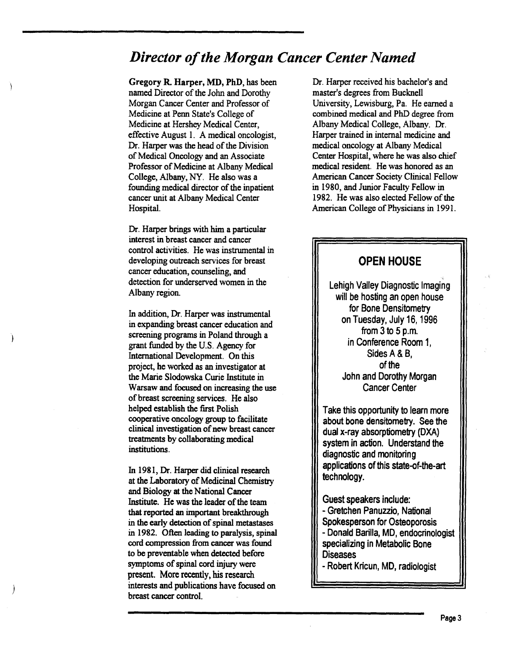## *Director of the Morgan Cancer Center Named*

Gregory R. Harper, MD, PhD, has been named Director of the John and Dorothy Morgan Cancer Center and Professor of Medicine at Penn State's College of Medicine at Hershey Medical Center, effective August I. A medical oncologist, Dr. Harper was the head of the Division of Medical Oncology and an Associate Professor of Medicine at Albany Medical College, Albany, NY. He also was a founding medical director of the inpatient cancer unit at Albany Medical Center Hospital.

Dr. Harper brings with him a particular interest in breast cancer and cancer control activities. He was instrumental in developing outreach services for breast cancer education, counseling, and detection for underserved women in the Albany region.

In addition, Dr. Harper was instrumental in expanding breast cancer education and screening programs in Poland through a grant funded by the U.S. Agency for International Development. On this project, he worked as an investigator at the Marie Slodowska Curie Institute in Warsaw and focused on increasing the use of breast screening services. He also helped establish the first Polish cooperative oncology group to facilitate clinical investigation of new breast cancer treatments by collaborating medical institutions.

In 1981, Dr. Harper did clinical research at the Laboratory of Medicinal Chemistry and Biology at the National Cancer Institute. He was the leader of the team that reported an important breakthrough in the early detection of spinal metastases in 1982. Often leading to paralysis, spinal cord compression from cancer was found to be preventable when detected before symptoms of spinal cord injury were present. More recently, his research interests and publications have focused on breast cancer control.

*)* 

1

Dr. Harper received his bachelor's and master's degrees from Bucknell University, Lewisburg, Pa. He earned a combined medical and PhD degree from Albany Medical College, Albany. Dr. Harper trained in internal medicine and medical oncology at Albany Medical Center Hospital, where he was also chief medical resident. He was honored as an American Cancer Society Clinical Fellow in 1980, and Junior Faculty Fellow in 1982. He was also elected Fellow of the American College of Physicians in 1991.

## OPEN HOUSE Lehigh Valley Diagnostic Imaging will be hosting an open house for Bone Densitometry on Tuesday, July 16, 1996 from 3 to 5 p.m. in Conference Room 1, Sides A& B, of the John and Dorothy Morgan Cancer Center

Take this opportunity to learn more about bone densitometry. See the dual x-ray absorptiometry (DXA) system in action. Understand the diagnostic and monitoring applications of this state-of-the-art technology.

Guest speakers include: - Gretchen Panuzzio, National Spokesperson for Osteoporosis -Donald Barilla, MD, endocrinologist specializing in Metabolic Bone **Diseases** 

-Robert Kricun, MD, radiologist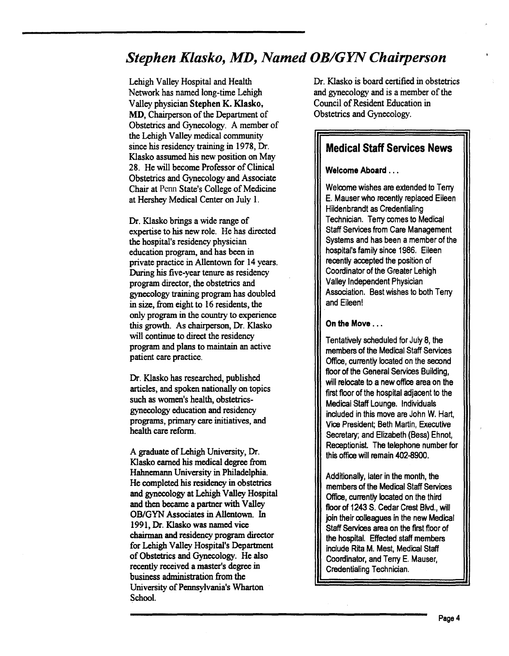## *Stephen Klasko, MD, Named OB/GYN Chairperson*

Lehigh Valley Hospital and Health Network has named long-time Lehigh Valley physician Stephen K. Klasko, MD, Chairperson of the Department of Obstetrics and Gynecology. A member of the Lehigh Valley medical community since his residency training in 1978, Dr. Klasko assumed his new position on May 28. He will become Professor of Clinical Obstetrics and Gynecology and Associate Chair at Penn State's College of Medicine at Hershey Medical Center on July 1.

Dr. Klasko brings a wide range of expertise to his new role. He has directed the hospital's residency physician education program, and has been in private practice in Allentown for 14 years. During his five-year tenure as residency program director, the obstetrics and gynecology training program has doubled in size, from eight to 16 residents, the only program in the country to experience this growth. As chairperson, Dr. Klasko will continue to direct the residency program and plans to maintain an active patient care practice.

Dr. Klasko has researched, published articles, and spoken nationally on topics such as women's health, obstetricsgynecology education and residency programs, primary care initiatives, and health care reform.

A graduate of Lehigh University, Dr. Klasko earned his medical degree from Hahnemann University in Philadelphia. He completed his residency in obstetrics and gynecology at Lehigh Valley Hospital and then became a partner with Valley OB/GYN Associates in Allentown. In 1991, Dr. Klasko was named vice chairman and residency program director for Lehigh Valley Hospital's Department of Obstetrics and Gynecology. He also recently received a master's degree in business administration from the University of Pennsylvania's Wharton School.

Dr. Klasko is board certified in obstetrics and gynecology and is a member of the Council of Resident Education in Obstetrics and Gynecology.

### Medical Staff Services News

#### Welcome Aboard ...

Welcome wishes are extended to Terry E. Mauser who recently replaced Eileen Hildenbrandt as Credentialing Technician. Terry comes to Medical Staff Services from Care Management Systems and has been a member of the hospital's family since 1986. Eileen recently accepted the position of Coordinator of the Greater Lehigh Valley Independent Physician Association. Best wishes to both Terry and Eileen!

#### On the Move ...

Tentatively scheduled for July 8, the members of the Medical Staff Services Office, currently located on the second floor of the General Services Building, will relocate to a new office area on the first floor of the hospital adjacent to the Medical Staff Lounge. Individuals included in this move are John W. Hart, Vice President; Beth Martin, Executive Secretary; and Elizabeth (Bess) Ehnot, Receptionist. The telephone number for this office will remain 402-8900.

Additionally, later in the month, the members of the Medical Staff Services Office, currently located on the third floor of 1243 S. Cedar Crest Blvd., will join their colleagues in the new Medical Staff Services area on the first floor of the hospital. Effected staff members include Rita M. Mest, Medical Staff Coordinator, and Terry E. Mauser, Credentialing Technician.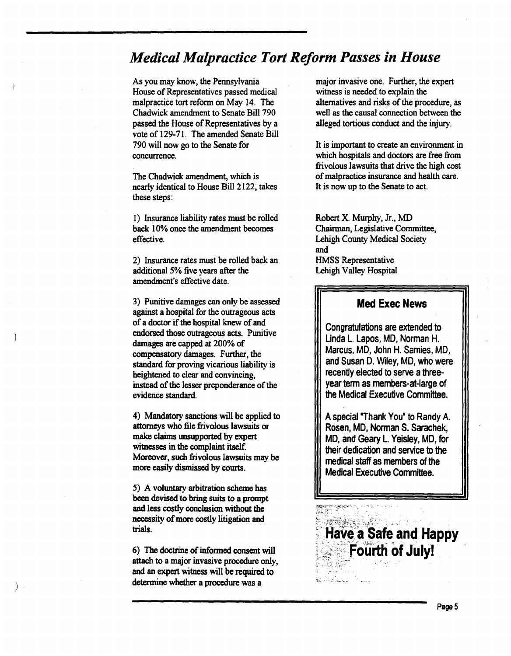## *Medical Malpractice Tort Reform Passes in House*

As you may know, the Pennsylvania House of Representatives passed medical malpractice tort reform on May 14. The Chadwick amendment to Senate Bill 790 passed the House of Representatives by a vote of 129-71. The amended Senate Bill 790 will now go to the Senate for concurrence.

The Chadwick amendment, which is nearly identical to House Bill 2122, takes these steps:

1) Insurance liability rates must be rolled back 10% once the amendment becomes effective.

2) Insurance rates must be rolled back an additional 5% five years after the amendment's effective date.

3) Punitive damages can only be assessed against a hospital for the outrageous acts of a doctor if the hospital knew of and endorsed those outrageous acts. Punitive damages are capped at 200% of compensatory damages. Further, the standard for proving vicarious liability is heightened to clear and convincing, instead of the lesser preponderance of the evidence standard.

4) Mandatory sanctions will be applied to attorneys who file frivolous lawsuits or make claims unsupported by expert witnesses in the complaint itself. Moreover, such frivolous lawsuits may be more easily dismissed by courts.

5) A voluntary arbitration scheme has been devised to bring suits to a prompt and less costly conclusion without the necessity of more costly litigation and trials.

6) The doctrine of informed consent will attach to a major invasive procedure only, and an expert witness will be required to determine whether a procedure was a

*)* 

Ì

major invasive one. Further, the expert witness is needed to explain the alternatives and risks of the procedure, as well as the causal connection between the alleged tortious conduct and the injury.

It is important to create an environment in which hospitals and doctors are free from frivolous lawsuits that drive the high cost of malpractice insurance and health care. It is now up to the Senate to act.

Robert X. Murphy, Jr., MD Chainnan, Legislative Committee, Lehigh County Medical Society and HMSS Representative Lehigh Valley Hospital

### Med Exec News

Congratulations are extended to Linda L. Lapos, MD, Norman H. Marcus, MD, John H. Samies, MD, and Susan D. Wiley, MD, who were recently elected to serve a threeyear term as members-at-large of the Medical Executive Committee.

A special "Thank You• to Randy A Rosen, MD, Norman S. Sarachek, MD, and Geary L. Yeisley, MD, for their dedication and service to the medical staff as members of the Medical Executive Committee.

Nave a Safe and Happy<br>' ... . Fourth of July!  $\mathbb{P}_\mathcal{P}$  .  $\mathbb{P}_\mathcal{P}$  is a set of the set of  $\mathcal{P}_\mathcal{P}$ 

 $~\ddot{}~$ 

.<br>Графа "Сифиринска уг

.. ' !.:.. .\_ ... '·!..,~ '-·~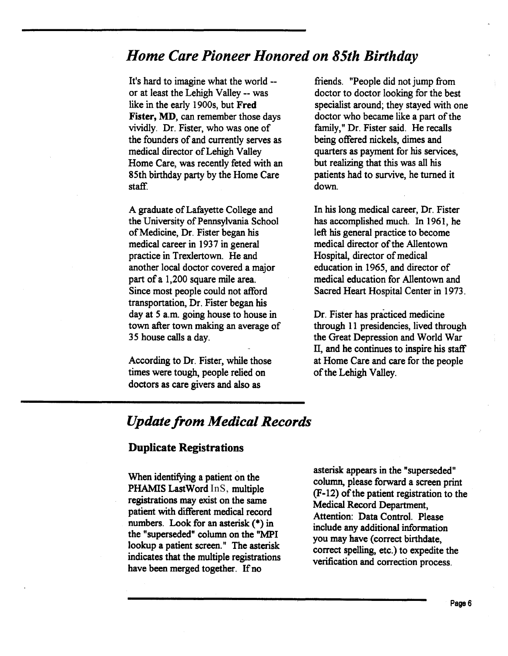## *Home Care Pioneer Honored on 85th Birthday*

It's hard to imagine what the world - or at least the Lehigh Valley -- was like in the early 1900s, but Fred Fister, MD, can remember those days vividly. Dr. Fister, who was one of the founders of and currently serves as medical director of Lehigh Valley Home Care, was recently feted with an 85th birthday party by the Home Care staff.

A graduate of Lafayette College and the University of Pennsylvania School of Medicine, Dr. Fister began his medical career in 1937 in general practice in Trexlertown. He and another local doctor covered a major part of a 1,200 square mile area. Since most people could not afford transportation, Dr. Fister began his day at 5 a.m. going house to house in town after town making an average of 35 house calls a day.

According to Dr. Fister, while those times were tough, people relied on doctors as care givers and also as

friends. "People did not jump from doctor to doctor looking for the best specialist around; they stayed with one doctor who became like a part of the family," Dr. Fister said. He recalls being offered nickels, dimes and quarters as payment for his services, but realizing that this was all his patients had to survive, he turned it down.

In his long medical career, Dr. Fister has accomplished much. In 1961, he left his general practice to become medical director of the Allentown Hospital, director of medical education in 1965, and director of medical education for Allentown and Sacred Heart Hospital Center in 1973.

Dr. Fister has practiced medicine through 11 presidencies, lived through the Great Depression and World War IT, and he continues to inspire his staff at Home Care and care for the people of the Lehigh Valley.

## *Update from Medical Records*

#### Duplicate Registrations

When identifying a patient on the PHAMIS LastWord InS, multiple registrations may exist on the same patient with different medical record numbers. Look for an asterisk (\*) in the "superseded" column on the "MPI lookup a patient screen." The asterisk indicates that the multiple registrations have been merged together. If no

asterisk appears in the "superseded" column, please forward a screen print (F-12) of the patient registration to the Medical Record Department, Attention: Data Control. Please include any additional information you may have (correct birthdate, correct spelling, etc.) to expedite the verification and correction process.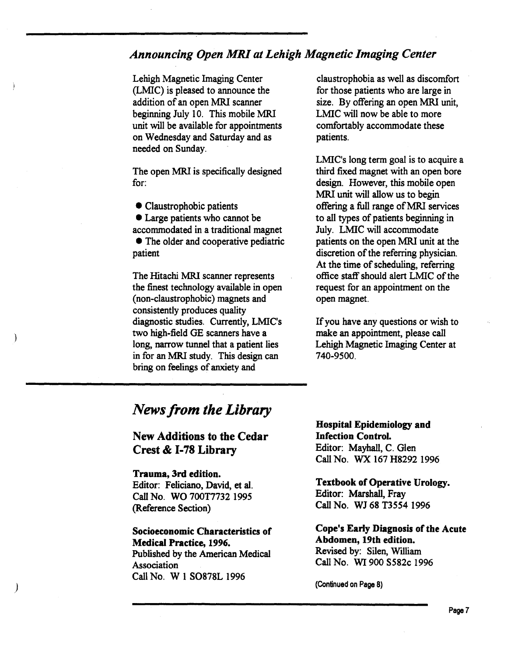## *Announcing Open MRI at Lehigh Magnetic Imaging Center*

Lehigh Magnetic Imaging Center (LMIC) is pleased to announce the addition of an open MRI scanner beginning July 10. This mobile MRI unit will be available for appointments on Wednesday and Saturday and as needed on Sunday.

The open MRI is specifically designed for:

• Claustrophobic patients

• Large patients who cannot be

accommodated in a traditional magnet • The older and cooperative pediatric patient

The Hitachi MRI scanner represents the finest technology available in open (non-claustrophobic) magnets and consistently produces quality diagnostic studies. Currently, LMIC's two high-field GE scanners have a long, narrow tunnel that a patient lies in for an MRI study. This design can bring on feelings of anxiety and

claustrophobia as well as discomfort for those patients who are large in size. By offering an open MRI unit, LMIC will now be able to more comfortably accommodate these patients.

LMIC's long term goal is to acquire a third fixed magnet with an open bore design. However, this mobile open MRI unit will allow us to begin offering a full range of MRI services to all types of patients beginning in July. LMIC will accommodate patients on the open MRI unit at the discretion of the referring physician. At the time of scheduling, referring office staff should alert LMIC of the request for an appointment on the open magnet.

If you have any questions or wish to make an appointment, please call Lehigh Magnetic Imaging Center at 740-9500.

## *News from the Library*

## New Additions to the Cedar Crest & 1-78 Library

#### Trauma, 3rd edition.

*)* 

 $\mathcal{E}$ 

Editor: Feliciano, David, et al. Call No. WO 700T7732 1995 (Reference Section)

### Socioeconomic Characteristics of

Medical Practice, 1996. Published by the American Medical Association Call No. W 1 S0878L 1996

Hospital Epidemiology and Infection Control. Editor: Mayhall, C. Glen Call No. WX 167 H8292 1996

Textbook of Operative Urology. Editor: Marshall, Fray Call No. WJ 68 T3554 1996

Cope's Early Diagnosis of the Acute Abdomen, 19th edition. Revised by: Silen, William Call No. WI 900 S582c 1996

(Continued on Page 8)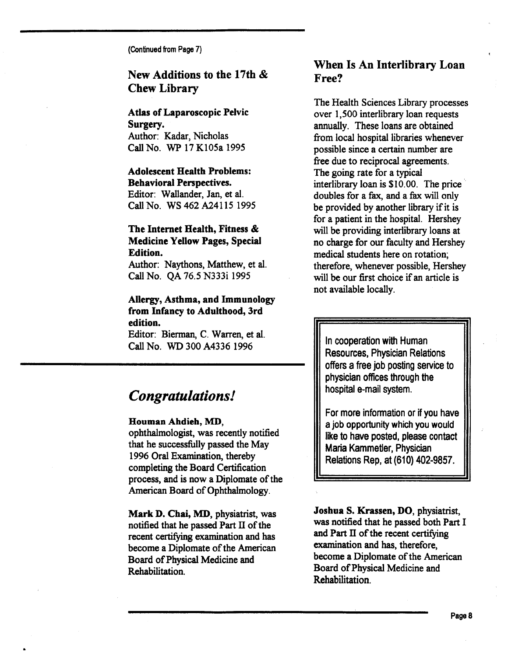(Continued from Page 7)

## New Additions to the 17th & Chew Library

Atlas of Laparoscopic Pelvic Surgery. Author: Kadar, Nicholas Call No. WP 17 K105a 1995

#### Adolescent Health Problems: **Behavioral Perspectives.**

Editor: Wallander, Jan, et al. Call No. WS 462 A24115 1995

### The Internet Health, Fitness & Medicine Yellow Pages, Special Edition.

Author: Naythons, Matthew, et al. Call No. QA 76.5 N333i 1995

#### Allergy, Asthma, and Immunology from Infancy to Adulthood, 3rd edition.

Editor: Bierman, C. Warren, et al. Call No. WD 300 A4336 1996

## *Congratulations!*

#### Bouman Ahdieh, MD,

ophthalmologist, was recently notified that he successfully passed the May 1996 Oral Examination, thereby completing the Board Certification process, and is now a Diplomate of the American Board of Ophthalmology.

Mark D. Chai, MD, physiatrist, was notified that he passed Part II of the recent certifying examination and has become a Diplomate of the American Board of Physical Medicine and Rehabilitation.

### When Is An Interlibrary Loan Free?

The Health Sciences Library processes over 1,500 interlibrary loan requests annually. These loans are obtained from local hospital libraries whenever possible since a certain number are free due to reciprocal agreements. The going rate for a typical interlibrary loan is \$10.00. The price doubles for a fax, and a fax will only be provided by another library if it is for a patient in the hospital. Hershey will be providing interlibrary loans at no charge for our faculty and Hershey medical students here on rotation; therefore, whenever possible, Hershey will be our first choice if an article is not available locally.

In cooperation with Human Resources, Physician Relations offers a free job posting service to physician offices through the hospital e-mail system.

For more information or if you have a job opportunity which you would like to have posted, please contact Maria Kammetler, Physician Relations Rep, at (610) 402-9857.

Joshua S. Krassen, DO, physiatrist, was notified that he passed both Part I and Part II of the recent certifying examination and has, therefore, become a Diplomate of the American Board of Physical Medicine and Rehabilitation.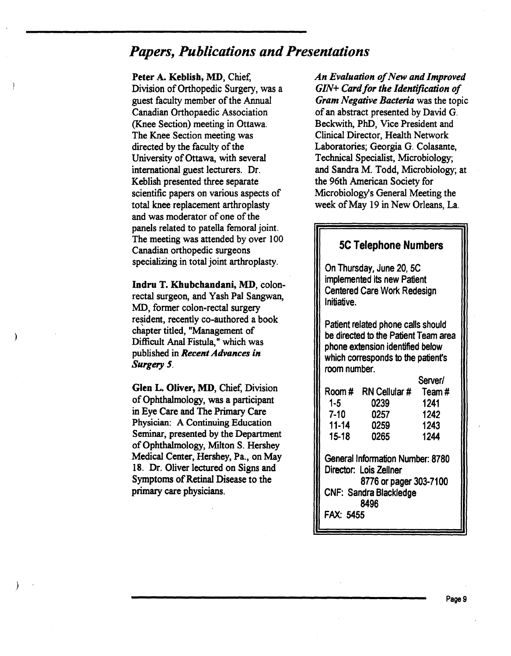## *Papers, Publications and Presentations*

Peter A. Keblish, MD, Chief,

Division of Orthopedic Surgery, was a guest faculty member of the Annual Canadian Orthopaedic Association (Knee Section) meeting in Ottawa. The Knee Section meeting was directed by the faculty of the University of Ottawa, with several international guest lecturers. Dr. Keblish presented three separate scientific papers on various aspects of total knee replacement arthroplasty and was moderator of one of the panels related to patella femoral joint. The meeting was attended by over 100 Canadian orthopedic surgeons specializing in total joint arthroplasty.

lndru T. Khubchandani, MD, colonrectal surgeon, and Yash Pal Sangwan, MD, former colon-rectal surgery resident, recently co-authored a book chapter titled, "Management of Difficult Anal Fistula," which was published in *Recent Advances in Surgery 5.* 

Glen L. Oliver, MD, Chief, Division of Ophthalmology, was a participant in Eye Care and The Primary Care Physician: A Continuing Education Seminar, presented by the Department of Ophthalmology, Milton S. Hershey Medical Center, Hershey, Pa., on May 18. Dr. Oliver lectured on Signs and Symptoms of Retinal Disease to the primary care physicians.

*An Evaluation of New and Improved GIN+ Card for the Identification of Gram Negative Bacteria* was the topic of an abstract presented by David G. Beckwith, PhD, Vice President and Clinical Director, Health Network Laboratories; Georgia G. Colasante, Technical Specialist, Microbiology; and Sandra M. Todd, Microbiology; at the 96th American Society for Microbiology's General Meeting the week of May 19 in New Orleans, La.

### 5C Telephone Numbers

On Thursday, June 20, 5C implemented its new Patient Centered Care Work Redesign Initiative.

Patient related phone calls should be directed to the Patient Team area phone extension identified below which corresponds to the patient's room number.

Server/

| Room#                                                                                                                                      | <b>RN Cellular #</b> | Team# |
|--------------------------------------------------------------------------------------------------------------------------------------------|----------------------|-------|
| $1 - 5$                                                                                                                                    | 0239                 | 1241  |
| 7-10                                                                                                                                       | 0257                 | 1242  |
| $11 - 14$                                                                                                                                  | 0259                 | 1243  |
| 15-18                                                                                                                                      | 0265                 | 1244  |
| General Information Number: 8780<br>Director: Lois Zellner<br>8776 or pager 303-7100<br><b>CNF: Sandra Blackledge</b><br>8496<br>FAX: 5455 |                      |       |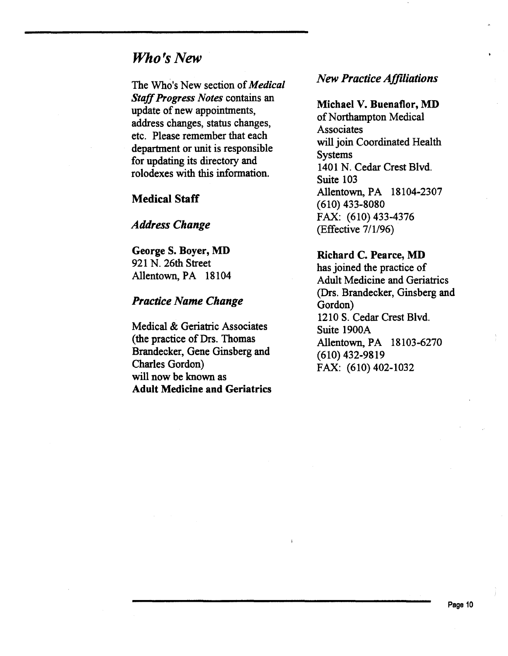## *Who's New*

The Who's New section of *Medical Staff Progress Notes* contains an update of new appointments, address changes, status changes, etc. Please remember that each department or unit is responsible for updating its directory and rolodexes with this information.

### Medical Staff

### *Address Change*

George S. Boyer, MD 921 N. 26th Street Allentown, PA 18104

#### *Practice Name Change*

Medical & Geriatric Associates (the practice of Drs. Thomas Brandecker, Gene Ginsberg and Charles Gordon) will now be known as Adult Medicine and Geriatrics

### *New Practice Affiliations*

Michael V. Buenaflor, MD of Northampton Medical **Associates** will join Coordinated Health Systems 1401 N. Cedar Crest Blvd. Suite 103 Allentown, PA 18104-2307 (610) 433-8080 FAX: (610) 433-4376 (Effective 7/1/96)

#### Richard C. Pearce, MD

has joined the practice of Adult Medicine and Geriatrics (Drs. Brandecker, Ginsberg and Gordon) 1210 S. Cedar Crest Blvd. Suite 1900A Allentown, PA 18103-6270 (610) 432-9819 FAX: (610) 402-1032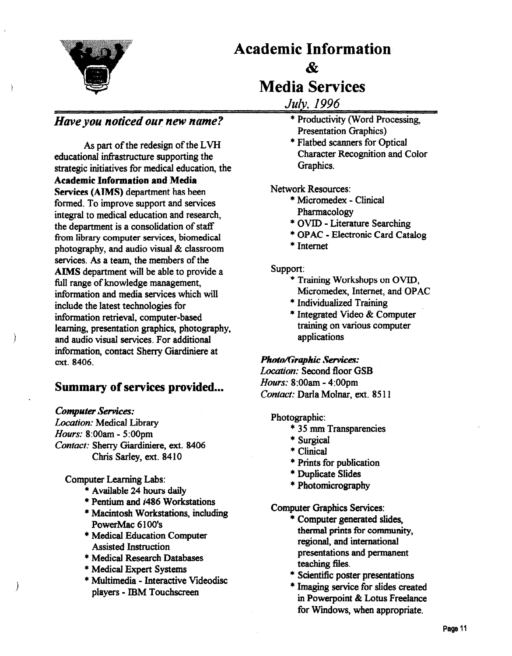

# Academic Information  $\boldsymbol{\mathcal{R}}$ Media Services

*July, 1996* 

### *Have you noticed our new name?*

As part of the redesign of the LVH educational infrastructure supporting the strategic initiatives for medical education, the Academic Information and Media Services (AIMS) department has been formed. To improve support and services integral to medical education and research, the department is a consolidation of staff from library computer services, biomedical photography, and audio visual & classroom services. As a team, the members of the AIMS department will be able to provide a full range of knowledge management, information and media services which will include the latest technologies for information retrieval, computer-based learning, presentation graphics, photography, and audio visual services. For additional information, contact Sherry Giardiniere at ext. 8406.

### Summary of services provided...

#### *Computer Services:*

*)* 

Ì

*Location:* Medical Library *Hours:* 8:00am- 5:00pm *Contact:* Sherry Giardiniere, ext. 8406 Chris Sarley, ext. 8410

#### Computer Learning Labs:

- \* Available 24 hours daily
- \* Pentium and i486 Workstations
- \* Macintosh Workstations, including PowerMac 6100's
- \* Medical Education Computer Assisted Instruction
- \* Medical Research Databases
- \* Medical Expert Systems
- \* Multimedia Interactive Videodisc players - IBM Touchscreen
- \* Productivity (Word Processing, Presentation Graphics)
- \* Flatbed scanners for Optical Character Recognition and Color Graphics.

#### Network Resources:

- \* Micromedex Clinical Pharmacology
- \*OVID- Literature Searching
- \* OP AC Electronic Card Catalog
- \*Internet

#### Support:

- \* Training Workshops on OVID, Micromedex, Internet, and OPAC
- \*Individualized Training
- \* Integrated Video & Computer training on various computer applications

## *Photo/Graphic Services:*

*Location:* Second floor GSB *Hours:* 8:00am- 4:00pm *Contact:* Darla Molnar, ext. 8511

#### Photographic:

- \* 35 mm Transparencies
- \*Surgical
- \*Clinical
- \* Prints for publication
- \* Duplicate Slides
- \* Photomicrography

Computer Graphics Services:

- \* Computer generated slides, thermal prints for community, regional, and international presentations and permanent teaching files.
- \* Scientific poster presentations
- \* Imaging service for slides created in Powerpoint & Lotus Freelance for Windows, when appropriate.

Page 11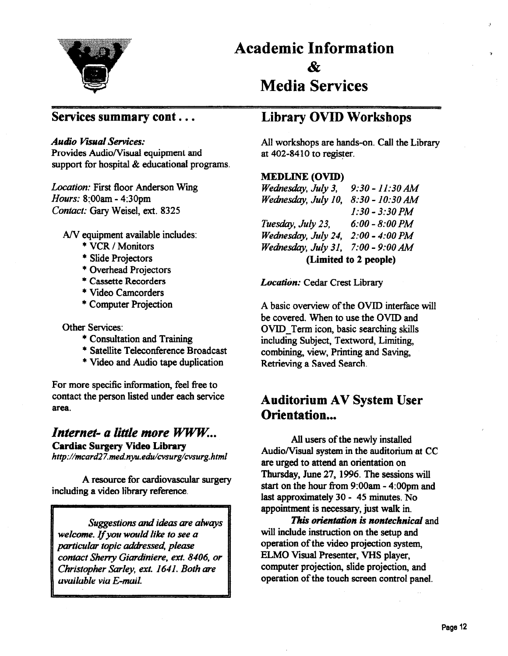

# Academic Information & Media Services

### Services summary cont...

#### *Audio Visual Services:*

Provides Audio/Visual equipment and support for hospital & educational programs.

*Location:* First floor Anderson Wing *Hours:* 8~00am- 4:30pm *Contact:* Gary Weisel, ext. 8325

A/V equipment available includes:

- \* VCR *I* Monitors
- Slide Projectors
- Overhead Projectors
- \* Cassette Recorders
- Video Camcorders
- Computer Projection

Other Services:

- \* Consultation and Training
- \* Satellite Teleconference Broadcast
- Video and Audio tape duplication

For more specific information, feel free to contact the person listed under each service area.

## *Internet- a little more WWW. ..* Cardiac Surgery Video Library

*http:llmcard27.med.nyu.edulcvsurglcvsurg.html* 

A resource for cardiovascular surgery including a video library reference.

*Suggestions and ideas are always welcome. If you would like to see a particular topic addressed, please contact Sherry Giardiniere, ext. 8406, or Christopher Sarley, ext. 1641. Both are available via E-mail.* 

## Library OVID Workshops

All workshops are hands-on. Call the Library at  $402-8410$  to register.

#### MEDLINE (OVID)

*Wednesday, July 3, Wednesday, July 10, 8:30-10:30 AM 9:30-11:30 AM 1:30-3:30 PM Tuesday, July 23, 6:00- 8:00PM Wednesday, July 24, 2:00- 4:00PM Wednesday, July 31, 7:00- 9:00AM*  (Limited to 2 people)

*Location:* Cedar Crest Library

A basic overview of the OVID interrace will be covered. When to use the OVID and OVID\_ Term icon, basic searching skills including Subject, Textword, Limiting, combining, view, Printing and Saving, Retrieving a Saved Search.

## **Auditorium AV System User** Orientation...

All users of the newly installed Audio/Visual system in the auditorium at CC are urged to attend an orientation on Thursday, June 27, 1996. The sessions will start on the hour from 9:00am- 4:00pm and last approximately 30- 45 minutes. No appointment is necessary, just walk in.

*This orientation is nontechnical* and will include instruction on the setup and operation of the video projection system, ELMO Visual Presenter, VHS player, computer projection, slide projection, and operation of the touch screen control panel.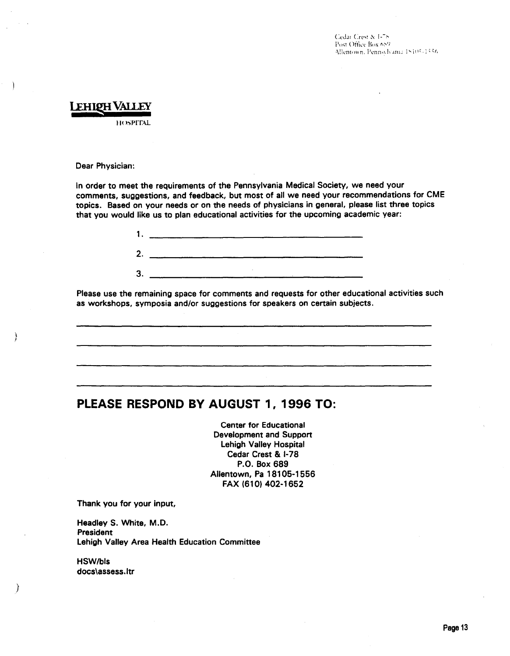## LEHIQH VALLEY

llliSPIT\L

Dear Physician:

In order to meet the requirements of the Pennsylvania Medical Society, we need your comments, suggestions, and feedback, but most of all we need your recommendations for CME topics. Based on your needs or on the needs of physicians in general, please list three topics that you would like us to plan educational activities for the upcoming academic year:



Please use the remaining space for comments and requests for other educational activities such as workshops, symposia and/or suggestions for speakers on certain subjects.

### PLEASE RESPOND BY AUGUST 1, 1996 TO:

Center for Educational Development and Support Lehigh Valley Hospital Cedar Crest & 1-78 P.O. Box 689 Allentown, Pa 18105-1556 FAX (610) 402-1652

Thank you for your input,

Headley S. White, M.D. President Lehigh Valley Area Health Education Committee

HSW/bls docs\assess.ltr

}

}